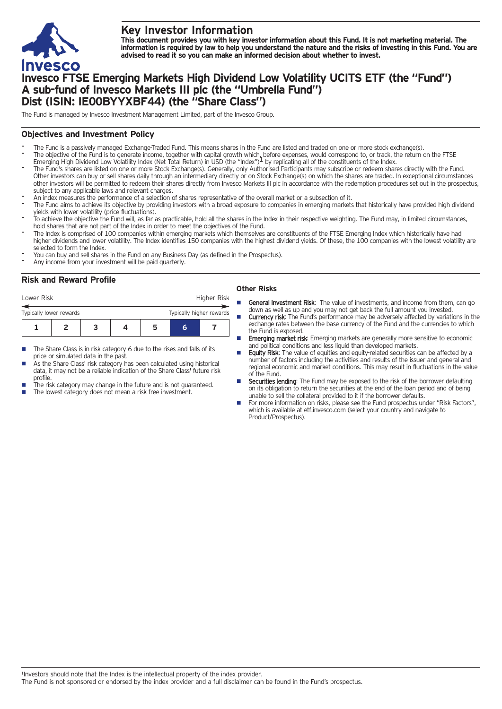

# **Key Investor Information**

This document provides you with key investor information about this Fund. It is not marketing material. The information is required by law to help you understand the nature and the risks of investing in this Fund. You are **advised to read it so you can make an informed decision about whether to invest.**

# **Invesco FTSE Emerging Markets High Dividend Low Volatility UCITS ETF (the "Fund") A sub-fund of Invesco Markets III plc (the "Umbrella Fund") Dist (ISIN: IE00BYYXBF44) (the "Share Class")**

The Fund is managed by Invesco Investment Management Limited, part of the Invesco Group.

# **Objectives and Investment Policy**

- The Fund is a passively managed Exchange-Traded Fund. This means shares in the Fund are listed and traded on one or more stock exchange(s).
- The objective of the Fund is to generate income, together with capital growth which, before expenses, would correspond to, or track, the return on the FTSE<br>Emerging High Dividend Low Volatility Index (Net Total Return) in
- The Fund's shares are listed on one or more Stock Exchange(s). Generally, only Authorised Participants may subscribe or redeem shares directly with the Fund. Other investors can buy or sell shares daily through an intermediary directly or on Stock Exchange(s) on which the shares are traded. In exceptional circumstances other investors will be permitted to redeem their shares directly from Invesco Markets III plc in accordance with the redemption procedures set out in the prospectus, subject to any applicable laws and relevant charges.
- An index measures the performance of <sup>a</sup> selection of shares representative of the overall market or <sup>a</sup> subsection of it.
- The Fund aims to achieve its objective by providing investors with a broad exposure to companies in emerging markets that historically have provided high dividend yields with lower volatility (price fluctuations).
- To achieve the objective the Fund will, as far as practicable, hold all the shares in the Index in their respective weighting. The Fund may, in limited circumstances, hold shares that are not part of the Index in order to meet the objectives of the Fund.
- The Index is comprised of 100 companies within emerging markets which themselves are constituents of the FTSE Emerging Index which historically have had higher dividends and lower volatility. The Index identifies 150 companies with the highest dividend yields. Of these, the 100 companies with the lowest volatility are selected to form the Index.
- You can buy and sell shares in the Fund on any Business Day (as defined in the Prospectus).
- Any income from your investment will be paid quarterly.

# **Risk and Reward Profile**

| Lower Risk                                          |  |  |  | Higher Risk |   |  |
|-----------------------------------------------------|--|--|--|-------------|---|--|
| Typically higher rewards<br>Typically lower rewards |  |  |  |             |   |  |
|                                                     |  |  |  |             | ค |  |

- The Share Class is in risk category 6 due to the rises and falls of its price or simulated data in the past.
- As the Share Class' risk category has been calculated using historical data, it may not be a reliable indication of the Share Class' future risk profile.
- The risk category may change in the future and is not guaranteed.
- The lowest category does not mean a risk free investment.

### **Other Risks**

- General Investment Risk: The value of investments, and income from them, can go down as well as up and you may not get back the full amount you invested.
- **Currency risk:** The Fund's performance may be adversely affected by variations in the exchange rates between the base currency of the Fund and the currencies to which the Fund is exposed.
- **Emerging market risk:** Emerging markets are generally more sensitive to economic and political conditions and less liquid than developed markets.
- Equity Risk: The value of equities and equity-related securities can be affected by a number of factors including the activities and results of the issuer and general and regional economic and market conditions. This may result in fluctuations in the value of the Fund.
- Securities lending: The Fund may be exposed to the risk of the borrower defaulting on its obligation to return the securities at the end of the loan period and of being unable to sell the collateral provided to it if the borrower defaults.
- For more information on risks, please see the Fund prospectus under "Risk Factors", which is available at etf.invesco.com (select your country and navigate to Product/Prospectus).